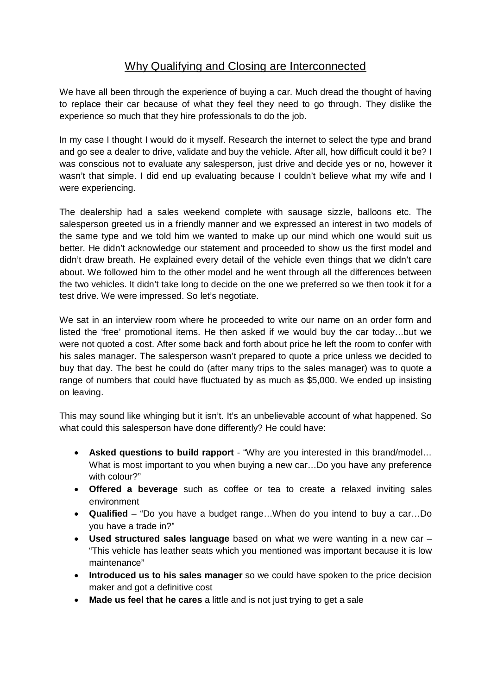## Why Qualifying and Closing are Interconnected

We have all been through the experience of buying a car. Much dread the thought of having to replace their car because of what they feel they need to go through. They dislike the experience so much that they hire professionals to do the job.

In my case I thought I would do it myself. Research the internet to select the type and brand and go see a dealer to drive, validate and buy the vehicle. After all, how difficult could it be? I was conscious not to evaluate any salesperson, just drive and decide yes or no, however it wasn't that simple. I did end up evaluating because I couldn't believe what my wife and I were experiencing.

The dealership had a sales weekend complete with sausage sizzle, balloons etc. The salesperson greeted us in a friendly manner and we expressed an interest in two models of the same type and we told him we wanted to make up our mind which one would suit us better. He didn't acknowledge our statement and proceeded to show us the first model and didn't draw breath. He explained every detail of the vehicle even things that we didn't care about. We followed him to the other model and he went through all the differences between the two vehicles. It didn't take long to decide on the one we preferred so we then took it for a test drive. We were impressed. So let's negotiate.

We sat in an interview room where he proceeded to write our name on an order form and listed the 'free' promotional items. He then asked if we would buy the car today…but we were not quoted a cost. After some back and forth about price he left the room to confer with his sales manager. The salesperson wasn't prepared to quote a price unless we decided to buy that day. The best he could do (after many trips to the sales manager) was to quote a range of numbers that could have fluctuated by as much as \$5,000. We ended up insisting on leaving.

This may sound like whinging but it isn't. It's an unbelievable account of what happened. So what could this salesperson have done differently? He could have:

- **Asked questions to build rapport** "Why are you interested in this brand/model… What is most important to you when buying a new car...Do you have any preference with colour?"
- **Offered a beverage** such as coffee or tea to create a relaxed inviting sales environment
- **Qualified** "Do you have a budget range…When do you intend to buy a car…Do you have a trade in?"
- **Used structured sales language** based on what we were wanting in a new car "This vehicle has leather seats which you mentioned was important because it is low maintenance"
- **Introduced us to his sales manager** so we could have spoken to the price decision maker and got a definitive cost
- **Made us feel that he cares** a little and is not just trying to get a sale